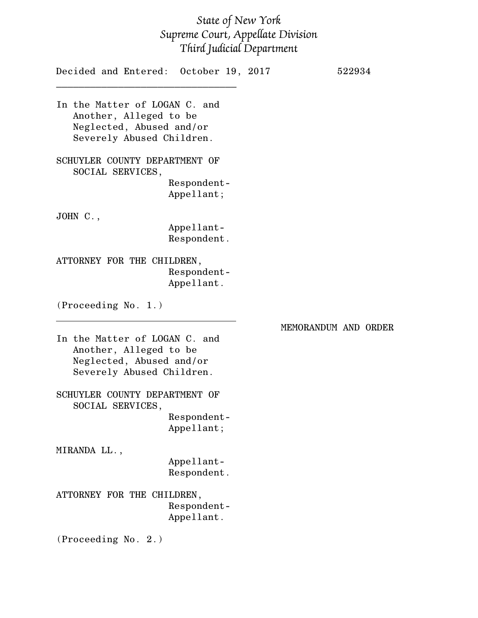## *State of New York Supreme Court, Appellate Division Third Judicial Department*

| Decided and Entered: October 19, 2017                                                                            |                           |                      | 522934 |
|------------------------------------------------------------------------------------------------------------------|---------------------------|----------------------|--------|
| In the Matter of LOGAN C. and<br>Another, Alleged to be<br>Neglected, Abused and/or<br>Severely Abused Children. |                           |                      |        |
| SCHUYLER COUNTY DEPARTMENT OF<br>SOCIAL SERVICES,                                                                | Respondent-<br>Appellant; |                      |        |
| JOHN $C.$ ,                                                                                                      |                           |                      |        |
|                                                                                                                  | Appellant-<br>Respondent. |                      |        |
| ATTORNEY FOR THE CHILDREN,                                                                                       | Respondent-<br>Appellant. |                      |        |
| (Proceeding No. 1.)                                                                                              |                           |                      |        |
| In the Matter of LOGAN C. and<br>Another, Alleged to be<br>Neglected, Abused and/or<br>Severely Abused Children. |                           | MEMORANDUM AND ORDER |        |
| SCHUYLER COUNTY DEPARTMENT OF<br>SOCIAL SERVICES                                                                 |                           |                      |        |
|                                                                                                                  | Respondent-<br>Appellant; |                      |        |
| MIRANDA LL.,                                                                                                     |                           |                      |        |
|                                                                                                                  | Appellant-<br>Respondent. |                      |        |

ATTORNEY FOR THE CHILDREN, Respondent-Appellant.

(Proceeding No. 2.)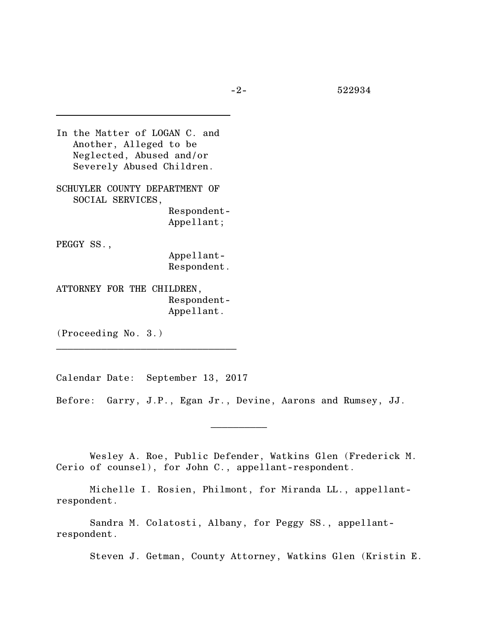-2- 522934

In the Matter of LOGAN C. and Another, Alleged to be Neglected, Abused and/or Severely Abused Children. SCHUYLER COUNTY DEPARTMENT OF SOCIAL SERVICES, Respondent-Appellant; PEGGY SS., Appellant-

Respondent.

ATTORNEY FOR THE CHILDREN, Respondent-Appellant.

(Proceeding No. 3.)

Calendar Date: September 13, 2017

\_\_\_\_\_\_\_\_\_\_\_\_\_\_\_\_\_\_\_\_\_\_\_\_\_\_\_\_\_\_\_\_

Before: Garry, J.P., Egan Jr., Devine, Aarons and Rumsey, JJ.

Wesley A. Roe, Public Defender, Watkins Glen (Frederick M. Cerio of counsel), for John C., appellant-respondent.

 $\frac{1}{2}$ 

Michelle I. Rosien, Philmont, for Miranda LL., appellantrespondent.

Sandra M. Colatosti, Albany, for Peggy SS., appellantrespondent.

Steven J. Getman, County Attorney, Watkins Glen (Kristin E.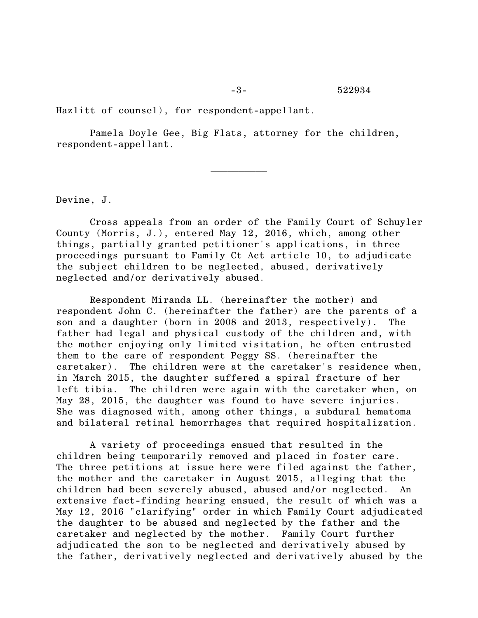Hazlitt of counsel), for respondent-appellant.

Pamela Doyle Gee, Big Flats, attorney for the children, respondent-appellant.

Devine, J.

Cross appeals from an order of the Family Court of Schuyler County (Morris, J.), entered May 12, 2016, which, among other things, partially granted petitioner's applications, in three proceedings pursuant to Family Ct Act article 10, to adjudicate the subject children to be neglected, abused, derivatively neglected and/or derivatively abused.

Respondent Miranda LL. (hereinafter the mother) and respondent John C. (hereinafter the father) are the parents of a son and a daughter (born in 2008 and 2013, respectively). The father had legal and physical custody of the children and, with the mother enjoying only limited visitation, he often entrusted them to the care of respondent Peggy SS. (hereinafter the caretaker). The children were at the caretaker's residence when, in March 2015, the daughter suffered a spiral fracture of her left tibia. The children were again with the caretaker when, on May 28, 2015, the daughter was found to have severe injuries. She was diagnosed with, among other things, a subdural hematoma and bilateral retinal hemorrhages that required hospitalization.

A variety of proceedings ensued that resulted in the children being temporarily removed and placed in foster care. The three petitions at issue here were filed against the father, the mother and the caretaker in August 2015, alleging that the children had been severely abused, abused and/or neglected. An extensive fact-finding hearing ensued, the result of which was a May 12, 2016 "clarifying" order in which Family Court adjudicated the daughter to be abused and neglected by the father and the caretaker and neglected by the mother. Family Court further adjudicated the son to be neglected and derivatively abused by the father, derivatively neglected and derivatively abused by the

 $\frac{1}{2}$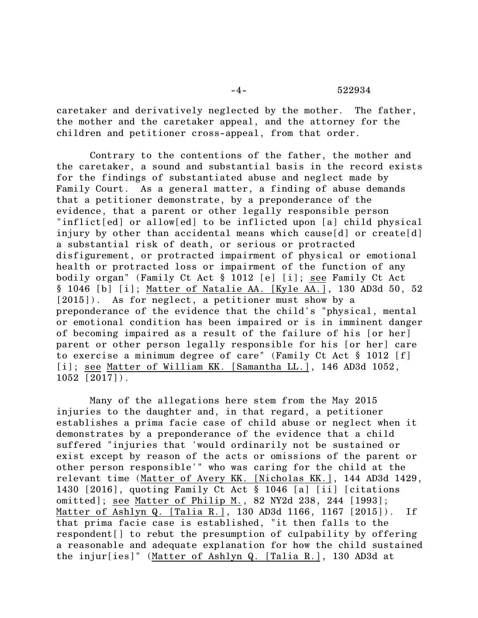caretaker and derivatively neglected by the mother. The father, the mother and the caretaker appeal, and the attorney for the children and petitioner cross-appeal, from that order.

Contrary to the contentions of the father, the mother and the caretaker, a sound and substantial basis in the record exists for the findings of substantiated abuse and neglect made by Family Court. As a general matter, a finding of abuse demands that a petitioner demonstrate, by a preponderance of the evidence, that a parent or other legally responsible person "inflict[ed] or allow[ed] to be inflicted upon [a] child physical injury by other than accidental means which cause[d] or create[d] a substantial risk of death, or serious or protracted disfigurement, or protracted impairment of physical or emotional health or protracted loss or impairment of the function of any bodily organ" (Family Ct Act § 1012 [e] [i]; see Family Ct Act § 1046 [b] [i]; Matter of Natalie AA. [Kyle AA.], 130 AD3d 50, 52 [2015]). As for neglect, a petitioner must show by a preponderance of the evidence that the child's "physical, mental or emotional condition has been impaired or is in imminent danger of becoming impaired as a result of the failure of his [or her] parent or other person legally responsible for his [or her] care to exercise a minimum degree of care" (Family Ct Act § 1012 [f] [i]; see Matter of William KK. [Samantha LL.], 146 AD3d 1052, 1052 [2017]).

Many of the allegations here stem from the May 2015 injuries to the daughter and, in that regard, a petitioner establishes a prima facie case of child abuse or neglect when it demonstrates by a preponderance of the evidence that a child suffered "injuries that 'would ordinarily not be sustained or exist except by reason of the acts or omissions of the parent or other person responsible'" who was caring for the child at the relevant time (Matter of Avery KK. [Nicholas KK.], 144 AD3d 1429, 1430 [2016], quoting Family Ct Act § 1046 [a] [ii] [citations omitted]; see Matter of Philip M., 82 NY2d 238, 244 [1993]; Matter of Ashlyn Q. [Talia R.], 130 AD3d 1166, 1167 [2015]). If that prima facie case is established, "it then falls to the respondent[] to rebut the presumption of culpability by offering a reasonable and adequate explanation for how the child sustained the injur[ies]" (Matter of Ashlyn Q. [Talia R.], 130 AD3d at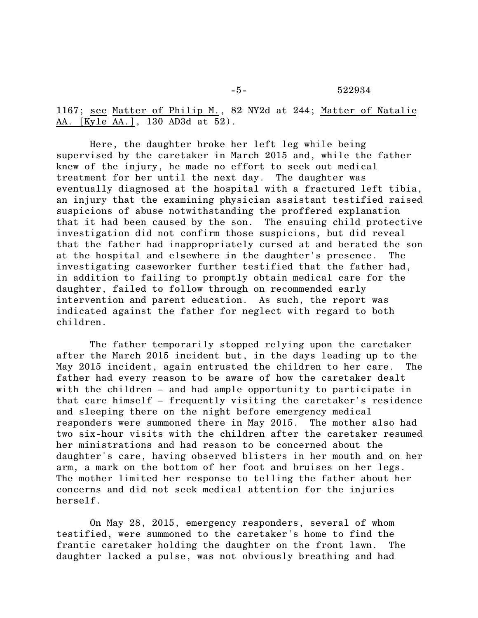1167; see Matter of Philip M., 82 NY2d at 244; Matter of Natalie AA. [Kyle AA.], 130 AD3d at 52).

Here, the daughter broke her left leg while being supervised by the caretaker in March 2015 and, while the father knew of the injury, he made no effort to seek out medical treatment for her until the next day. The daughter was eventually diagnosed at the hospital with a fractured left tibia, an injury that the examining physician assistant testified raised suspicions of abuse notwithstanding the proffered explanation that it had been caused by the son. The ensuing child protective investigation did not confirm those suspicions, but did reveal that the father had inappropriately cursed at and berated the son at the hospital and elsewhere in the daughter's presence. The investigating caseworker further testified that the father had, in addition to failing to promptly obtain medical care for the daughter, failed to follow through on recommended early intervention and parent education. As such, the report was indicated against the father for neglect with regard to both children.

The father temporarily stopped relying upon the caretaker after the March 2015 incident but, in the days leading up to the May 2015 incident, again entrusted the children to her care. The father had every reason to be aware of how the caretaker dealt with the children – and had ample opportunity to participate in that care himself – frequently visiting the caretaker's residence and sleeping there on the night before emergency medical responders were summoned there in May 2015. The mother also had two six-hour visits with the children after the caretaker resumed her ministrations and had reason to be concerned about the daughter's care, having observed blisters in her mouth and on her arm, a mark on the bottom of her foot and bruises on her legs. The mother limited her response to telling the father about her concerns and did not seek medical attention for the injuries herself.

On May 28, 2015, emergency responders, several of whom testified, were summoned to the caretaker's home to find the frantic caretaker holding the daughter on the front lawn. The daughter lacked a pulse, was not obviously breathing and had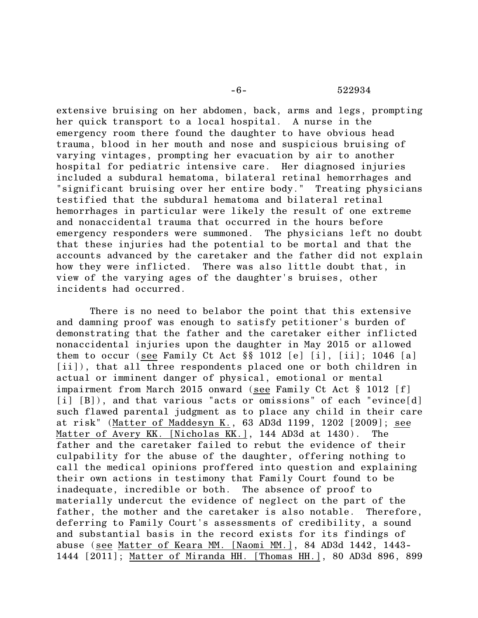## -6- 522934

extensive bruising on her abdomen, back, arms and legs, prompting her quick transport to a local hospital. A nurse in the emergency room there found the daughter to have obvious head trauma, blood in her mouth and nose and suspicious bruising of varying vintages, prompting her evacuation by air to another hospital for pediatric intensive care. Her diagnosed injuries included a subdural hematoma, bilateral retinal hemorrhages and "significant bruising over her entire body." Treating physicians testified that the subdural hematoma and bilateral retinal hemorrhages in particular were likely the result of one extreme and nonaccidental trauma that occurred in the hours before emergency responders were summoned. The physicians left no doubt that these injuries had the potential to be mortal and that the accounts advanced by the caretaker and the father did not explain how they were inflicted. There was also little doubt that, in view of the varying ages of the daughter's bruises, other incidents had occurred.

There is no need to belabor the point that this extensive and damning proof was enough to satisfy petitioner's burden of demonstrating that the father and the caretaker either inflicted nonaccidental injuries upon the daughter in May 2015 or allowed them to occur (see Family Ct Act §§ 1012 [e] [i], [ii]; 1046 [a] [ii]), that all three respondents placed one or both children in actual or imminent danger of physical, emotional or mental impairment from March 2015 onward (see Family Ct Act § 1012 [f] [i] [B]), and that various "acts or omissions" of each "evince[d] such flawed parental judgment as to place any child in their care at risk" (Matter of Maddesyn K., 63 AD3d 1199, 1202 [2009]; see Matter of Avery KK. [Nicholas KK.], 144 AD3d at 1430). The father and the caretaker failed to rebut the evidence of their culpability for the abuse of the daughter, offering nothing to call the medical opinions proffered into question and explaining their own actions in testimony that Family Court found to be inadequate, incredible or both. The absence of proof to materially undercut the evidence of neglect on the part of the father, the mother and the caretaker is also notable. Therefore, deferring to Family Court's assessments of credibility, a sound and substantial basis in the record exists for its findings of abuse (see Matter of Keara MM. [Naomi MM.], 84 AD3d 1442, 1443- 1444 [2011]; Matter of Miranda HH. [Thomas HH.], 80 AD3d 896, 899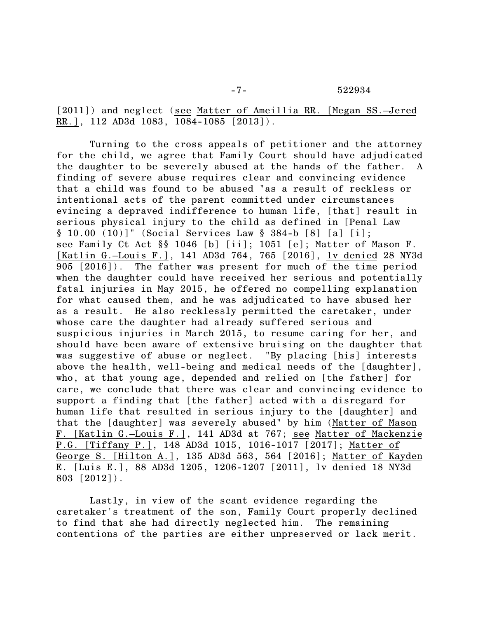[2011]) and neglect (see Matter of Ameillia RR. [Megan SS.–Jered RR.], 112 AD3d 1083, 1084-1085 [2013]).

Turning to the cross appeals of petitioner and the attorney for the child, we agree that Family Court should have adjudicated the daughter to be severely abused at the hands of the father. A finding of severe abuse requires clear and convincing evidence that a child was found to be abused "as a result of reckless or intentional acts of the parent committed under circumstances evincing a depraved indifference to human life, [that] result in serious physical injury to the child as defined in [Penal Law § 10.00 (10)]" (Social Services Law § 384-b [8] [a] [i]; see Family Ct Act §§ 1046 [b] [ii]; 1051 [e]; Matter of Mason F. [Katlin G.–Louis F.], 141 AD3d 764, 765 [2016], lv denied 28 NY3d 905 [2016]). The father was present for much of the time period when the daughter could have received her serious and potentially fatal injuries in May 2015, he offered no compelling explanation for what caused them, and he was adjudicated to have abused her as a result. He also recklessly permitted the caretaker, under whose care the daughter had already suffered serious and suspicious injuries in March 2015, to resume caring for her, and should have been aware of extensive bruising on the daughter that was suggestive of abuse or neglect. "By placing [his] interests above the health, well-being and medical needs of the [daughter], who, at that young age, depended and relied on [the father] for care, we conclude that there was clear and convincing evidence to support a finding that [the father] acted with a disregard for human life that resulted in serious injury to the [daughter] and that the [daughter] was severely abused" by him (Matter of Mason F. [Katlin G.–Louis F.], 141 AD3d at 767; see Matter of Mackenzie P.G. [Tiffany P.], 148 AD3d 1015, 1016-1017 [2017]; Matter of George S. [Hilton A.], 135 AD3d 563, 564 [2016]; Matter of Kayden E. [Luis E.], 88 AD3d 1205, 1206-1207 [2011], lv denied 18 NY3d 803 [2012]).

Lastly, in view of the scant evidence regarding the caretaker's treatment of the son, Family Court properly declined to find that she had directly neglected him. The remaining contentions of the parties are either unpreserved or lack merit.